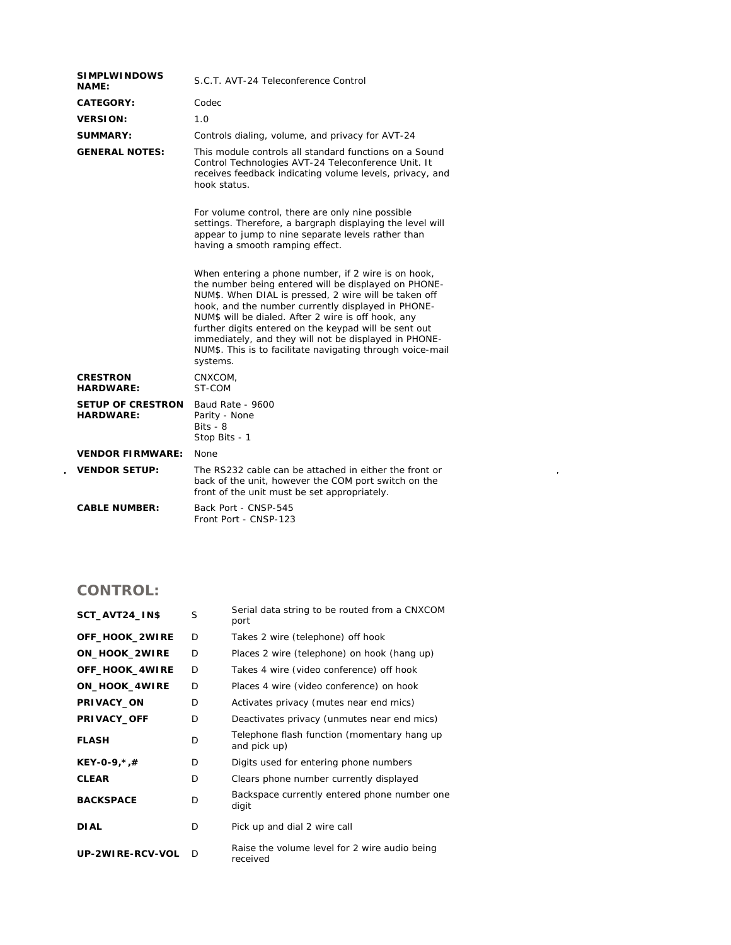| <b>SIMPLWINDOWS</b><br><b>NAME:</b>          | S.C.T. AVT-24 Teleconference Control                                                                                                                                                                                                                                                                                                                                                                                                                                          |  |  |
|----------------------------------------------|-------------------------------------------------------------------------------------------------------------------------------------------------------------------------------------------------------------------------------------------------------------------------------------------------------------------------------------------------------------------------------------------------------------------------------------------------------------------------------|--|--|
| CATEGORY:                                    | Codec                                                                                                                                                                                                                                                                                                                                                                                                                                                                         |  |  |
| <b>VERSION:</b>                              | 1.0                                                                                                                                                                                                                                                                                                                                                                                                                                                                           |  |  |
| <b>SUMMARY:</b>                              | Controls dialing, volume, and privacy for AVT-24                                                                                                                                                                                                                                                                                                                                                                                                                              |  |  |
| <b>GENERAL NOTES:</b>                        | This module controls all standard functions on a Sound<br>Control Technologies AVT-24 Teleconference Unit. It<br>receives feedback indicating volume levels, privacy, and<br>hook status.                                                                                                                                                                                                                                                                                     |  |  |
|                                              | For volume control, there are only nine possible<br>settings. Therefore, a bargraph displaying the level will<br>appear to jump to nine separate levels rather than<br>having a smooth ramping effect.                                                                                                                                                                                                                                                                        |  |  |
|                                              | When entering a phone number, if 2 wire is on hook,<br>the number being entered will be displayed on PHONE-<br>NUM\$. When DIAL is pressed, 2 wire will be taken off<br>hook, and the number currently displayed in PHONE-<br>NUM\$ will be dialed. After 2 wire is off hook, any<br>further digits entered on the keypad will be sent out<br>immediately, and they will not be displayed in PHONE-<br>NUM\$. This is to facilitate navigating through voice-mail<br>systems. |  |  |
| <b>CRESTRON</b><br><b>HARDWARE:</b>          | CNXCOM.<br>ST-COM                                                                                                                                                                                                                                                                                                                                                                                                                                                             |  |  |
| <b>SETUP OF CRESTRON</b><br><b>HARDWARE:</b> | Baud Rate - 9600<br>Parity - None<br>$Bits - 8$<br>Stop Bits - 1                                                                                                                                                                                                                                                                                                                                                                                                              |  |  |
| <b>VENDOR FIRMWARE:</b>                      | <b>None</b>                                                                                                                                                                                                                                                                                                                                                                                                                                                                   |  |  |
| <b>VENDOR SETUP:</b>                         | The RS232 cable can be attached in either the front or<br>back of the unit, however the COM port switch on the<br>front of the unit must be set appropriately.                                                                                                                                                                                                                                                                                                                |  |  |
| <b>CABLE NUMBER:</b>                         | Back Port - CNSP-545<br>Front Port - CNSP-123                                                                                                                                                                                                                                                                                                                                                                                                                                 |  |  |

 $\mathcal{L}(\mathcal{L}^{\text{max}})$  .

## **CONTROL:**

 $\hat{\mathcal{L}}$ 

| SCT_AVT24_IN\$   | S | Serial data string to be routed from a CNXCOM<br>port       |
|------------------|---|-------------------------------------------------------------|
| OFF_HOOK_2WIRE   | D | Takes 2 wire (telephone) off hook                           |
| ON_HOOK_2WIRE    | D | Places 2 wire (telephone) on hook (hang up)                 |
| OFF_HOOK_4WIRE   | D | Takes 4 wire (video conference) off hook                    |
| ON_HOOK_4WIRE    | D | Places 4 wire (video conference) on hook                    |
| PRIVACY_ON       | D | Activates privacy (mutes near end mics)                     |
| PRIVACY_OFF      | D | Deactivates privacy (unmutes near end mics)                 |
| <b>FLASH</b>     | D | Telephone flash function (momentary hang up<br>and pick up) |
| $KEY-0-9, *, #$  | D | Digits used for entering phone numbers                      |
| <b>CLEAR</b>     | D | Clears phone number currently displayed                     |
| <b>BACKSPACE</b> | D | Backspace currently entered phone number one<br>digit       |
| <b>DIAL</b>      | D | Pick up and dial 2 wire call                                |
| UP-2WIRE-RCV-VOL | D | Raise the volume level for 2 wire audio being<br>received   |